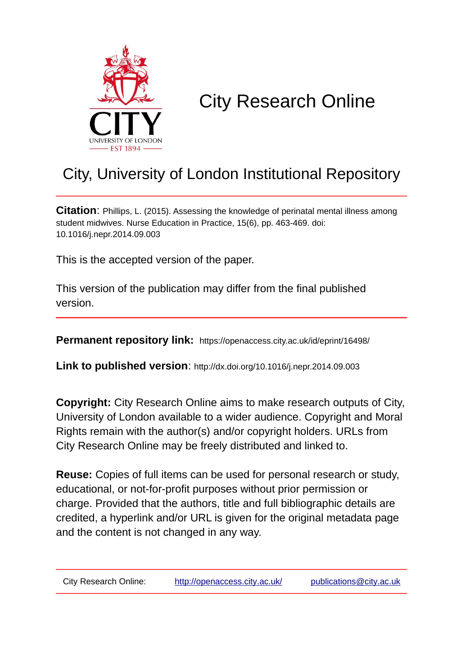

# City Research Online

## City, University of London Institutional Repository

**Citation**: Phillips, L. (2015). Assessing the knowledge of perinatal mental illness among student midwives. Nurse Education in Practice, 15(6), pp. 463-469. doi: 10.1016/j.nepr.2014.09.003

This is the accepted version of the paper.

This version of the publication may differ from the final published version.

**Permanent repository link:** https://openaccess.city.ac.uk/id/eprint/16498/

**Link to published version**: http://dx.doi.org/10.1016/j.nepr.2014.09.003

**Copyright:** City Research Online aims to make research outputs of City, University of London available to a wider audience. Copyright and Moral Rights remain with the author(s) and/or copyright holders. URLs from City Research Online may be freely distributed and linked to.

**Reuse:** Copies of full items can be used for personal research or study, educational, or not-for-profit purposes without prior permission or charge. Provided that the authors, title and full bibliographic details are credited, a hyperlink and/or URL is given for the original metadata page and the content is not changed in any way.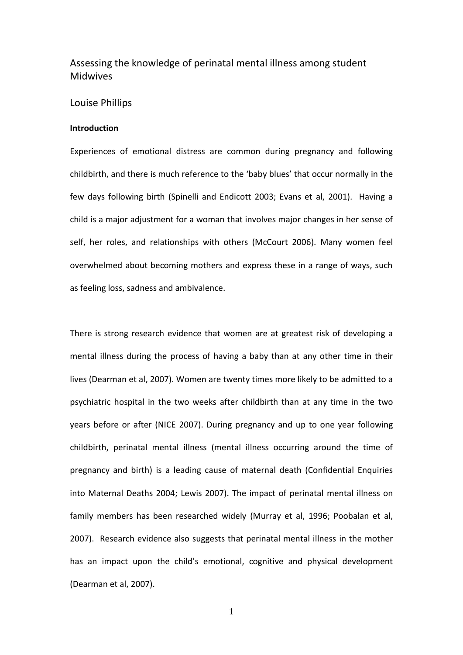### Assessing the knowledge of perinatal mental illness among student Midwives

#### Louise Phillips

#### **Introduction**

Experiences of emotional distress are common during pregnancy and following childbirth, and there is much reference to the 'baby blues' that occur normally in the few days following birth (Spinelli and Endicott 2003; Evans et al, 2001). Having a child is a major adjustment for a woman that involves major changes in her sense of self, her roles, and relationships with others (McCourt 2006). Many women feel overwhelmed about becoming mothers and express these in a range of ways, such as feeling loss, sadness and ambivalence.

There is strong research evidence that women are at greatest risk of developing a mental illness during the process of having a baby than at any other time in their lives (Dearman et al, 2007). Women are twenty times more likely to be admitted to a psychiatric hospital in the two weeks after childbirth than at any time in the two years before or after (NICE 2007). During pregnancy and up to one year following childbirth, perinatal mental illness (mental illness occurring around the time of pregnancy and birth) is a leading cause of maternal death (Confidential Enquiries into Maternal Deaths 2004; Lewis 2007). The impact of perinatal mental illness on family members has been researched widely (Murray et al, 1996; Poobalan et al, 2007). Research evidence also suggests that perinatal mental illness in the mother has an impact upon the child's emotional, cognitive and physical development (Dearman et al, 2007).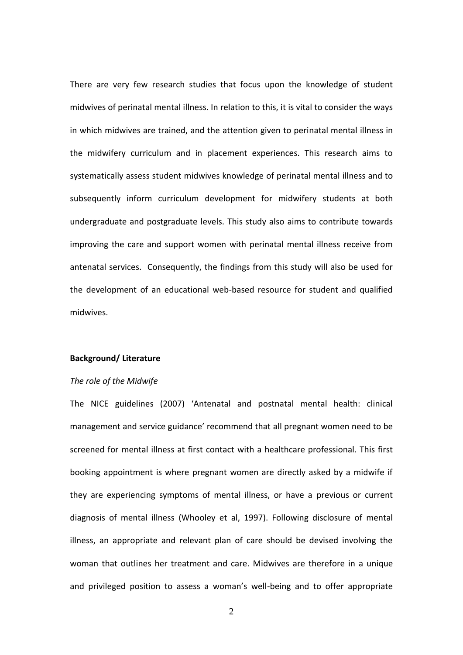There are very few research studies that focus upon the knowledge of student midwives of perinatal mental illness. In relation to this, it is vital to consider the ways in which midwives are trained, and the attention given to perinatal mental illness in the midwifery curriculum and in placement experiences. This research aims to systematically assess student midwives knowledge of perinatal mental illness and to subsequently inform curriculum development for midwifery students at both undergraduate and postgraduate levels. This study also aims to contribute towards improving the care and support women with perinatal mental illness receive from antenatal services. Consequently, the findings from this study will also be used for the development of an educational web-based resource for student and qualified midwives.

#### **Background/ Literature**

#### *The role of the Midwife*

The NICE guidelines (2007) 'Antenatal and postnatal mental health: clinical management and service guidance' recommend that all pregnant women need to be screened for mental illness at first contact with a healthcare professional. This first booking appointment is where pregnant women are directly asked by a midwife if they are experiencing symptoms of mental illness, or have a previous or current diagnosis of mental illness (Whooley et al, 1997). Following disclosure of mental illness, an appropriate and relevant plan of care should be devised involving the woman that outlines her treatment and care. Midwives are therefore in a unique and privileged position to assess a woman's well-being and to offer appropriate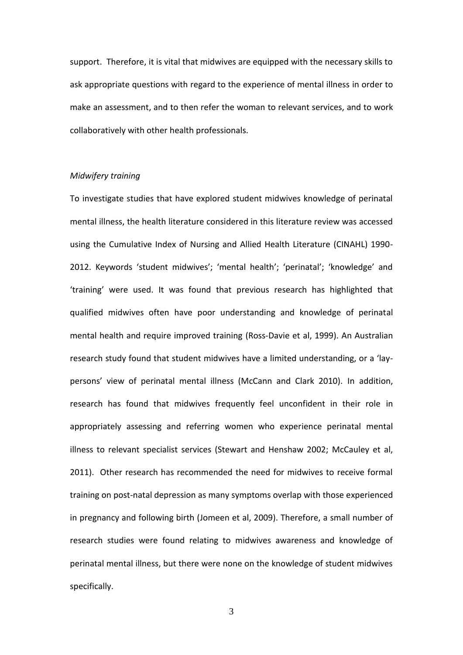support. Therefore, it is vital that midwives are equipped with the necessary skills to ask appropriate questions with regard to the experience of mental illness in order to make an assessment, and to then refer the woman to relevant services, and to work collaboratively with other health professionals.

#### *Midwifery training*

To investigate studies that have explored student midwives knowledge of perinatal mental illness, the health literature considered in this literature review was accessed using the Cumulative Index of Nursing and Allied Health Literature (CINAHL) 1990- 2012. Keywords 'student midwives'; 'mental health'; 'perinatal'; 'knowledge' and 'training' were used. It was found that previous research has highlighted that qualified midwives often have poor understanding and knowledge of perinatal mental health and require improved training (Ross-Davie et al, 1999). An Australian research study found that student midwives have a limited understanding, or a 'laypersons' view of perinatal mental illness (McCann and Clark 2010). In addition, research has found that midwives frequently feel unconfident in their role in appropriately assessing and referring women who experience perinatal mental illness to relevant specialist services (Stewart and Henshaw 2002; McCauley et al, 2011). Other research has recommended the need for midwives to receive formal training on post-natal depression as many symptoms overlap with those experienced in pregnancy and following birth (Jomeen et al, 2009). Therefore, a small number of research studies were found relating to midwives awareness and knowledge of perinatal mental illness, but there were none on the knowledge of student midwives specifically.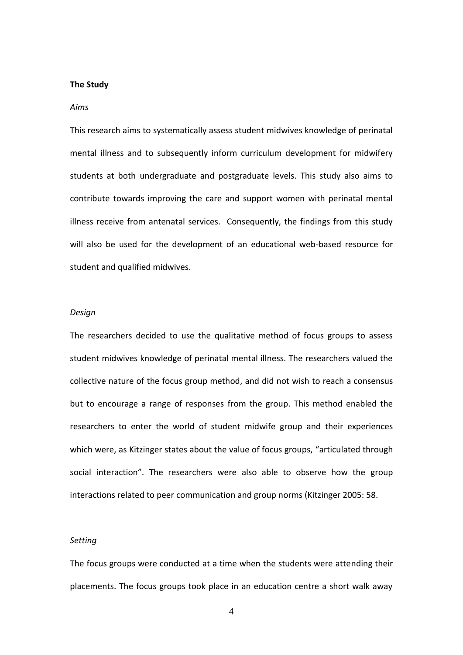#### **The Study**

#### *Aims*

This research aims to systematically assess student midwives knowledge of perinatal mental illness and to subsequently inform curriculum development for midwifery students at both undergraduate and postgraduate levels. This study also aims to contribute towards improving the care and support women with perinatal mental illness receive from antenatal services. Consequently, the findings from this study will also be used for the development of an educational web-based resource for student and qualified midwives.

#### *Design*

The researchers decided to use the qualitative method of focus groups to assess student midwives knowledge of perinatal mental illness. The researchers valued the collective nature of the focus group method, and did not wish to reach a consensus but to encourage a range of responses from the group. This method enabled the researchers to enter the world of student midwife group and their experiences which were, as Kitzinger states about the value of focus groups, "articulated through social interaction". The researchers were also able to observe how the group interactions related to peer communication and group norms (Kitzinger 2005: 58.

#### *Setting*

The focus groups were conducted at a time when the students were attending their placements. The focus groups took place in an education centre a short walk away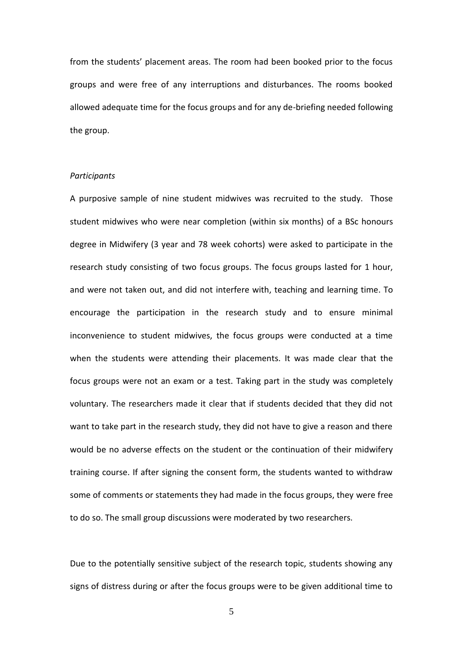from the students' placement areas. The room had been booked prior to the focus groups and were free of any interruptions and disturbances. The rooms booked allowed adequate time for the focus groups and for any de-briefing needed following the group.

#### *Participants*

A purposive sample of nine student midwives was recruited to the study. Those student midwives who were near completion (within six months) of a BSc honours degree in Midwifery (3 year and 78 week cohorts) were asked to participate in the research study consisting of two focus groups. The focus groups lasted for 1 hour, and were not taken out, and did not interfere with, teaching and learning time. To encourage the participation in the research study and to ensure minimal inconvenience to student midwives, the focus groups were conducted at a time when the students were attending their placements. It was made clear that the focus groups were not an exam or a test. Taking part in the study was completely voluntary. The researchers made it clear that if students decided that they did not want to take part in the research study, they did not have to give a reason and there would be no adverse effects on the student or the continuation of their midwifery training course. If after signing the consent form, the students wanted to withdraw some of comments or statements they had made in the focus groups, they were free to do so. The small group discussions were moderated by two researchers.

Due to the potentially sensitive subject of the research topic, students showing any signs of distress during or after the focus groups were to be given additional time to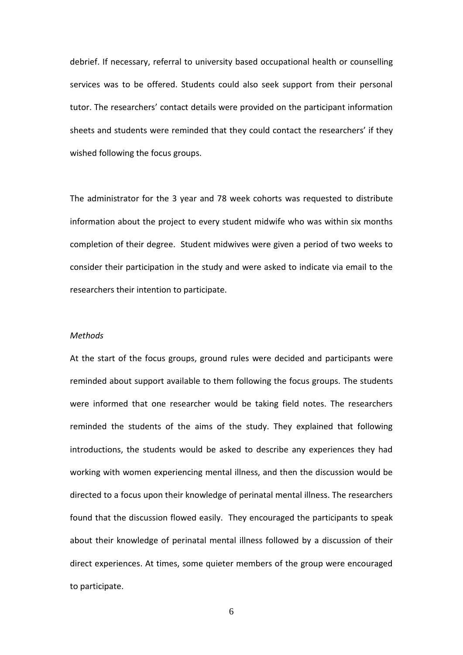debrief. If necessary, referral to university based occupational health or counselling services was to be offered. Students could also seek support from their personal tutor. The researchers' contact details were provided on the participant information sheets and students were reminded that they could contact the researchers' if they wished following the focus groups.

The administrator for the 3 year and 78 week cohorts was requested to distribute information about the project to every student midwife who was within six months completion of their degree. Student midwives were given a period of two weeks to consider their participation in the study and were asked to indicate via email to the researchers their intention to participate.

#### *Methods*

At the start of the focus groups, ground rules were decided and participants were reminded about support available to them following the focus groups. The students were informed that one researcher would be taking field notes. The researchers reminded the students of the aims of the study. They explained that following introductions, the students would be asked to describe any experiences they had working with women experiencing mental illness, and then the discussion would be directed to a focus upon their knowledge of perinatal mental illness. The researchers found that the discussion flowed easily. They encouraged the participants to speak about their knowledge of perinatal mental illness followed by a discussion of their direct experiences. At times, some quieter members of the group were encouraged to participate.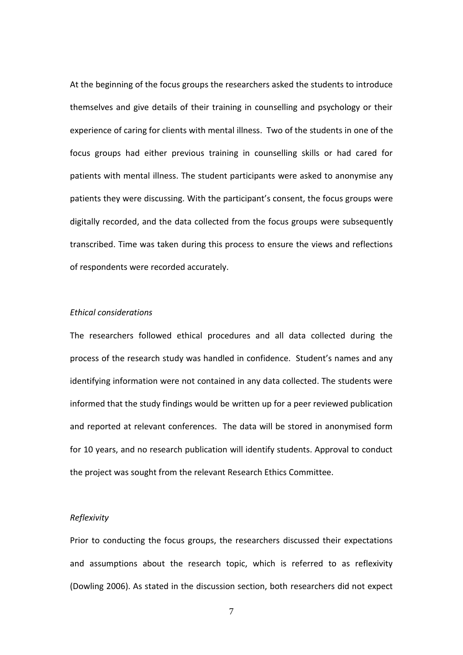At the beginning of the focus groups the researchers asked the students to introduce themselves and give details of their training in counselling and psychology or their experience of caring for clients with mental illness. Two of the students in one of the focus groups had either previous training in counselling skills or had cared for patients with mental illness. The student participants were asked to anonymise any patients they were discussing. With the participant's consent, the focus groups were digitally recorded, and the data collected from the focus groups were subsequently transcribed. Time was taken during this process to ensure the views and reflections of respondents were recorded accurately.

#### *Ethical considerations*

The researchers followed ethical procedures and all data collected during the process of the research study was handled in confidence. Student's names and any identifying information were not contained in any data collected. The students were informed that the study findings would be written up for a peer reviewed publication and reported at relevant conferences. The data will be stored in anonymised form for 10 years, and no research publication will identify students. Approval to conduct the project was sought from the relevant Research Ethics Committee.

#### *Reflexivity*

Prior to conducting the focus groups, the researchers discussed their expectations and assumptions about the research topic, which is referred to as reflexivity (Dowling 2006). As stated in the discussion section, both researchers did not expect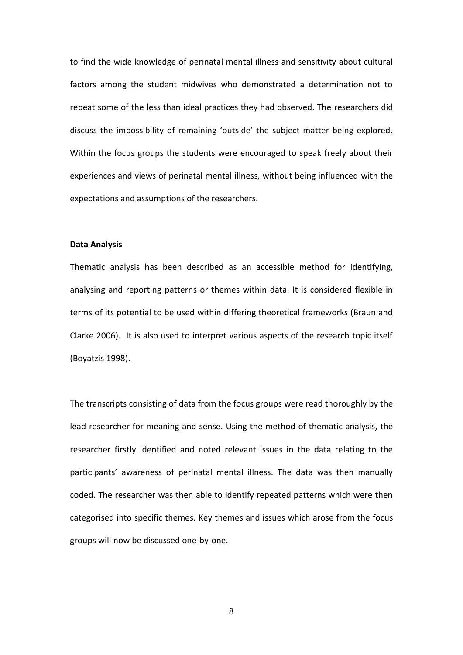to find the wide knowledge of perinatal mental illness and sensitivity about cultural factors among the student midwives who demonstrated a determination not to repeat some of the less than ideal practices they had observed. The researchers did discuss the impossibility of remaining 'outside' the subject matter being explored. Within the focus groups the students were encouraged to speak freely about their experiences and views of perinatal mental illness, without being influenced with the expectations and assumptions of the researchers.

#### **Data Analysis**

Thematic analysis has been described as an accessible method for identifying, analysing and reporting patterns or themes within data. It is considered flexible in terms of its potential to be used within differing theoretical frameworks (Braun and Clarke 2006). It is also used to interpret various aspects of the research topic itself (Boyatzis 1998).

The transcripts consisting of data from the focus groups were read thoroughly by the lead researcher for meaning and sense. Using the method of thematic analysis, the researcher firstly identified and noted relevant issues in the data relating to the participants' awareness of perinatal mental illness. The data was then manually coded. The researcher was then able to identify repeated patterns which were then categorised into specific themes. Key themes and issues which arose from the focus groups will now be discussed one-by-one.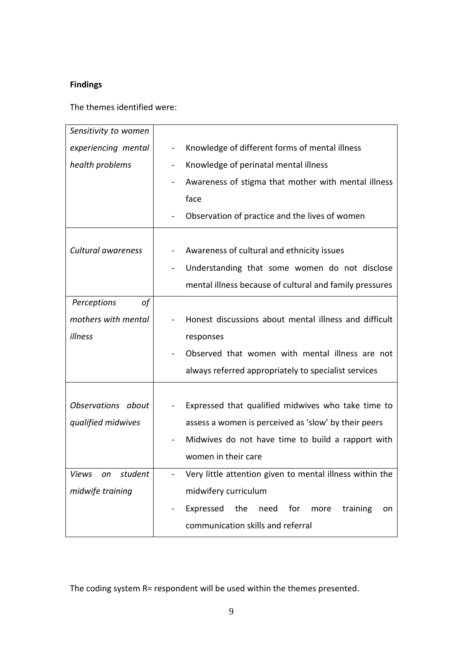## **Findings**

The themes identified were:

| Sensitivity to women |                                                           |
|----------------------|-----------------------------------------------------------|
| experiencing mental  | Knowledge of different forms of mental illness            |
| health problems      | Knowledge of perinatal mental illness                     |
|                      | Awareness of stigma that mother with mental illness       |
|                      | face                                                      |
|                      | Observation of practice and the lives of women            |
|                      |                                                           |
| Cultural awareness   | Awareness of cultural and ethnicity issues                |
|                      | Understanding that some women do not disclose             |
|                      | mental illness because of cultural and family pressures   |
| Perceptions<br>οf    |                                                           |
| mothers with mental  | Honest discussions about mental illness and difficult     |
| illness              | responses                                                 |
|                      | Observed that women with mental illness are not           |
|                      | always referred appropriately to specialist services      |
|                      |                                                           |
| Observations about   | Expressed that qualified midwives who take time to        |
| qualified midwives   | assess a women is perceived as 'slow' by their peers      |
|                      | Midwives do not have time to build a rapport with         |
|                      | women in their care                                       |
| Views on student     | Very little attention given to mental illness within the  |
| midwife training     | midwifery curriculum                                      |
|                      | Expressed<br>the<br>need<br>for<br>training<br>more<br>on |
|                      | communication skills and referral                         |

The coding system R= respondent will be used within the themes presented.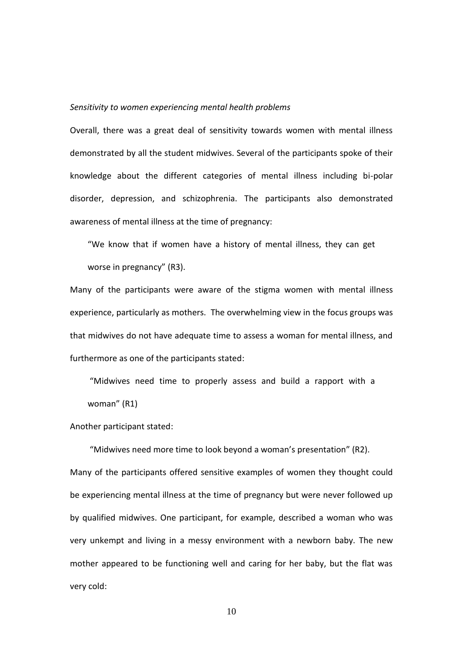#### *Sensitivity to women experiencing mental health problems*

Overall, there was a great deal of sensitivity towards women with mental illness demonstrated by all the student midwives. Several of the participants spoke of their knowledge about the different categories of mental illness including bi-polar disorder, depression, and schizophrenia. The participants also demonstrated awareness of mental illness at the time of pregnancy:

"We know that if women have a history of mental illness, they can get worse in pregnancy" (R3).

Many of the participants were aware of the stigma women with mental illness experience, particularly as mothers. The overwhelming view in the focus groups was that midwives do not have adequate time to assess a woman for mental illness, and furthermore as one of the participants stated:

"Midwives need time to properly assess and build a rapport with a woman" (R1)

Another participant stated:

"Midwives need more time to look beyond a woman's presentation" (R2). Many of the participants offered sensitive examples of women they thought could be experiencing mental illness at the time of pregnancy but were never followed up by qualified midwives. One participant, for example, described a woman who was very unkempt and living in a messy environment with a newborn baby. The new mother appeared to be functioning well and caring for her baby, but the flat was very cold: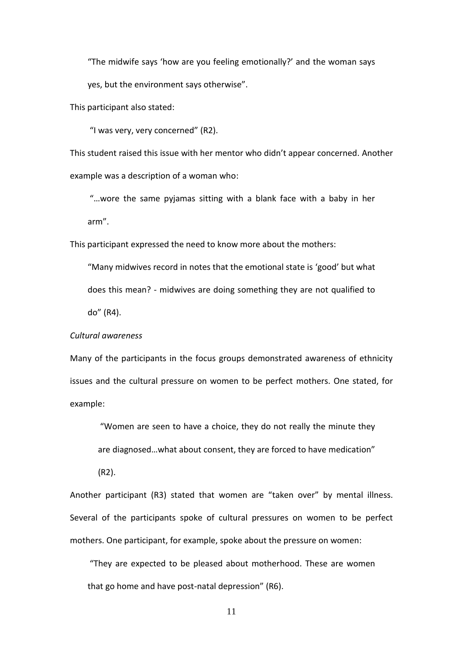"The midwife says 'how are you feeling emotionally?' and the woman says

yes, but the environment says otherwise".

This participant also stated:

"I was very, very concerned" (R2).

This student raised this issue with her mentor who didn't appear concerned. Another example was a description of a woman who:

"…wore the same pyjamas sitting with a blank face with a baby in her arm".

This participant expressed the need to know more about the mothers:

"Many midwives record in notes that the emotional state is 'good' but what does this mean? - midwives are doing something they are not qualified to do" (R4).

#### *Cultural awareness*

Many of the participants in the focus groups demonstrated awareness of ethnicity issues and the cultural pressure on women to be perfect mothers. One stated, for example:

"Women are seen to have a choice, they do not really the minute they are diagnosed…what about consent, they are forced to have medication"

(R2).

Another participant (R3) stated that women are "taken over" by mental illness. Several of the participants spoke of cultural pressures on women to be perfect mothers. One participant, for example, spoke about the pressure on women:

"They are expected to be pleased about motherhood. These are women that go home and have post-natal depression" (R6).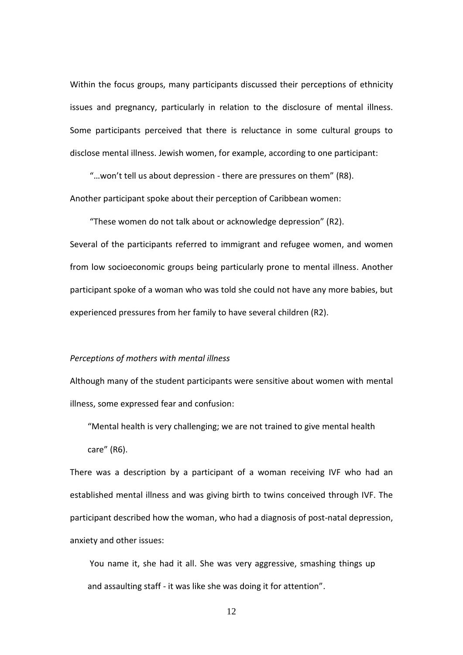Within the focus groups, many participants discussed their perceptions of ethnicity issues and pregnancy, particularly in relation to the disclosure of mental illness. Some participants perceived that there is reluctance in some cultural groups to disclose mental illness. Jewish women, for example, according to one participant:

"…won't tell us about depression - there are pressures on them" (R8). Another participant spoke about their perception of Caribbean women:

"These women do not talk about or acknowledge depression" (R2). Several of the participants referred to immigrant and refugee women, and women from low socioeconomic groups being particularly prone to mental illness. Another participant spoke of a woman who was told she could not have any more babies, but experienced pressures from her family to have several children (R2).

#### *Perceptions of mothers with mental illness*

Although many of the student participants were sensitive about women with mental illness, some expressed fear and confusion:

"Mental health is very challenging; we are not trained to give mental health care" (R6).

There was a description by a participant of a woman receiving IVF who had an established mental illness and was giving birth to twins conceived through IVF. The participant described how the woman, who had a diagnosis of post-natal depression, anxiety and other issues:

You name it, she had it all. She was very aggressive, smashing things up and assaulting staff - it was like she was doing it for attention".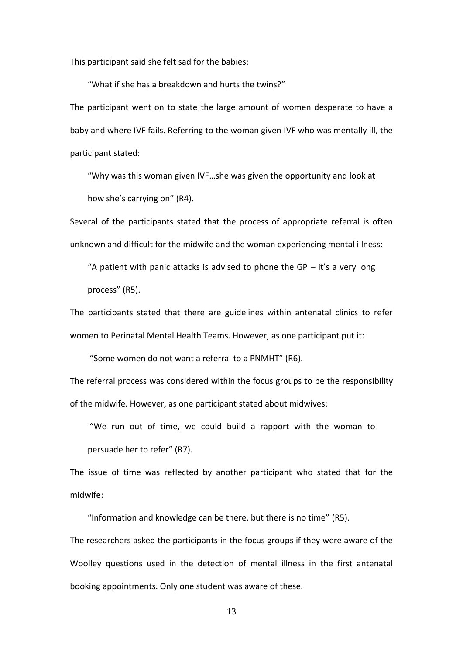This participant said she felt sad for the babies:

"What if she has a breakdown and hurts the twins?"

The participant went on to state the large amount of women desperate to have a baby and where IVF fails. Referring to the woman given IVF who was mentally ill, the participant stated:

"Why was this woman given IVF…she was given the opportunity and look at how she's carrying on" (R4).

Several of the participants stated that the process of appropriate referral is often unknown and difficult for the midwife and the woman experiencing mental illness:

"A patient with panic attacks is advised to phone the GP  $-$  it's a very long process" (R5).

The participants stated that there are guidelines within antenatal clinics to refer women to Perinatal Mental Health Teams. However, as one participant put it:

"Some women do not want a referral to a PNMHT" (R6).

The referral process was considered within the focus groups to be the responsibility of the midwife. However, as one participant stated about midwives:

"We run out of time, we could build a rapport with the woman to

persuade her to refer" (R7).

The issue of time was reflected by another participant who stated that for the midwife:

"Information and knowledge can be there, but there is no time" (R5).

The researchers asked the participants in the focus groups if they were aware of the Woolley questions used in the detection of mental illness in the first antenatal booking appointments. Only one student was aware of these.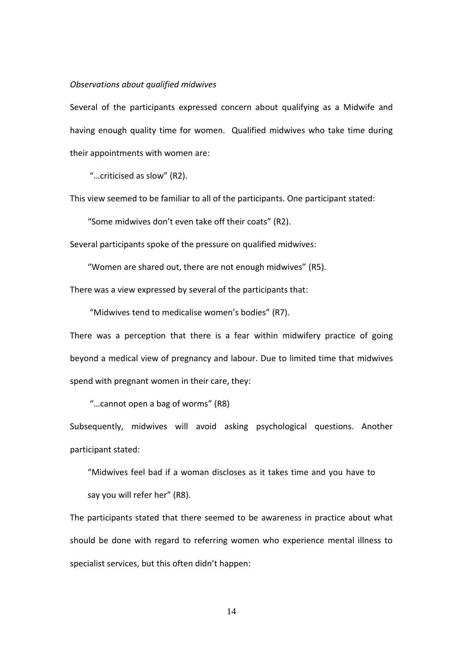#### *Observations about qualified midwives*

Several of the participants expressed concern about qualifying as a Midwife and having enough quality time for women. Qualified midwives who take time during their appointments with women are:

"…criticised as slow" (R2).

This view seemed to be familiar to all of the participants. One participant stated:

"Some midwives don't even take off their coats" (R2).

Several participants spoke of the pressure on qualified midwives:

"Women are shared out, there are not enough midwives" (R5).

There was a view expressed by several of the participants that:

"Midwives tend to medicalise women's bodies" (R7).

There was a perception that there is a fear within midwifery practice of going beyond a medical view of pregnancy and labour. Due to limited time that midwives spend with pregnant women in their care, they:

"…cannot open a bag of worms" (R8)

Subsequently, midwives will avoid asking psychological questions. Another participant stated:

"Midwives feel bad if a woman discloses as it takes time and you have to say you will refer her" (R8).

The participants stated that there seemed to be awareness in practice about what should be done with regard to referring women who experience mental illness to specialist services, but this often didn't happen: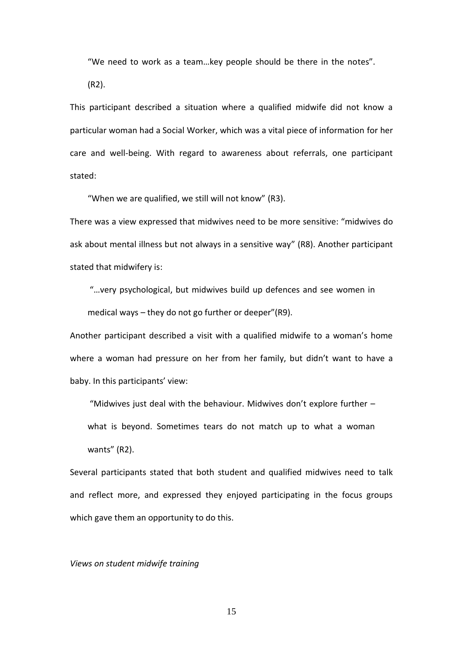"We need to work as a team…key people should be there in the notes". (R2).

This participant described a situation where a qualified midwife did not know a particular woman had a Social Worker, which was a vital piece of information for her care and well-being. With regard to awareness about referrals, one participant stated:

"When we are qualified, we still will not know" (R3).

There was a view expressed that midwives need to be more sensitive: "midwives do ask about mental illness but not always in a sensitive way" (R8). Another participant stated that midwifery is:

"…very psychological, but midwives build up defences and see women in medical ways – they do not go further or deeper"(R9).

Another participant described a visit with a qualified midwife to a woman's home where a woman had pressure on her from her family, but didn't want to have a baby. In this participants' view:

"Midwives just deal with the behaviour. Midwives don't explore further – what is beyond. Sometimes tears do not match up to what a woman wants" (R2).

Several participants stated that both student and qualified midwives need to talk and reflect more, and expressed they enjoyed participating in the focus groups which gave them an opportunity to do this.

#### *Views on student midwife training*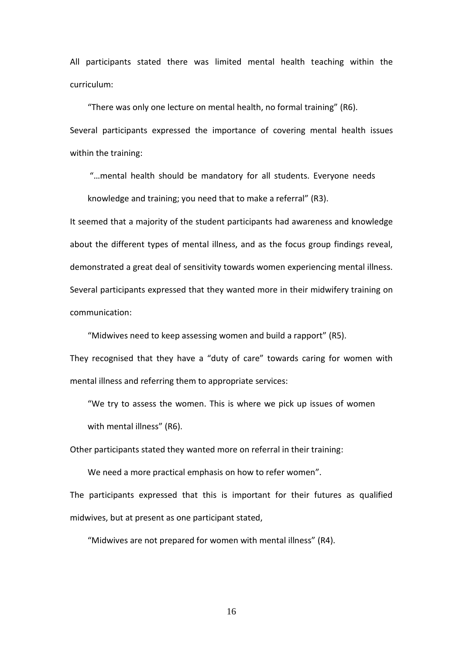All participants stated there was limited mental health teaching within the curriculum:

"There was only one lecture on mental health, no formal training" (R6). Several participants expressed the importance of covering mental health issues within the training:

"…mental health should be mandatory for all students. Everyone needs knowledge and training; you need that to make a referral" (R3).

It seemed that a majority of the student participants had awareness and knowledge about the different types of mental illness, and as the focus group findings reveal, demonstrated a great deal of sensitivity towards women experiencing mental illness. Several participants expressed that they wanted more in their midwifery training on communication:

"Midwives need to keep assessing women and build a rapport" (R5).

They recognised that they have a "duty of care" towards caring for women with mental illness and referring them to appropriate services:

"We try to assess the women. This is where we pick up issues of women with mental illness" (R6).

Other participants stated they wanted more on referral in their training:

We need a more practical emphasis on how to refer women".

The participants expressed that this is important for their futures as qualified midwives, but at present as one participant stated,

"Midwives are not prepared for women with mental illness" (R4).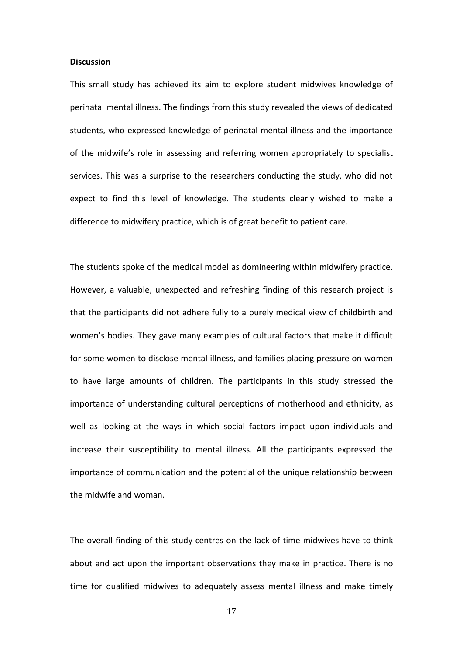#### **Discussion**

This small study has achieved its aim to explore student midwives knowledge of perinatal mental illness. The findings from this study revealed the views of dedicated students, who expressed knowledge of perinatal mental illness and the importance of the midwife's role in assessing and referring women appropriately to specialist services. This was a surprise to the researchers conducting the study, who did not expect to find this level of knowledge. The students clearly wished to make a difference to midwifery practice, which is of great benefit to patient care.

The students spoke of the medical model as domineering within midwifery practice. However, a valuable, unexpected and refreshing finding of this research project is that the participants did not adhere fully to a purely medical view of childbirth and women's bodies. They gave many examples of cultural factors that make it difficult for some women to disclose mental illness, and families placing pressure on women to have large amounts of children. The participants in this study stressed the importance of understanding cultural perceptions of motherhood and ethnicity, as well as looking at the ways in which social factors impact upon individuals and increase their susceptibility to mental illness. All the participants expressed the importance of communication and the potential of the unique relationship between the midwife and woman.

The overall finding of this study centres on the lack of time midwives have to think about and act upon the important observations they make in practice. There is no time for qualified midwives to adequately assess mental illness and make timely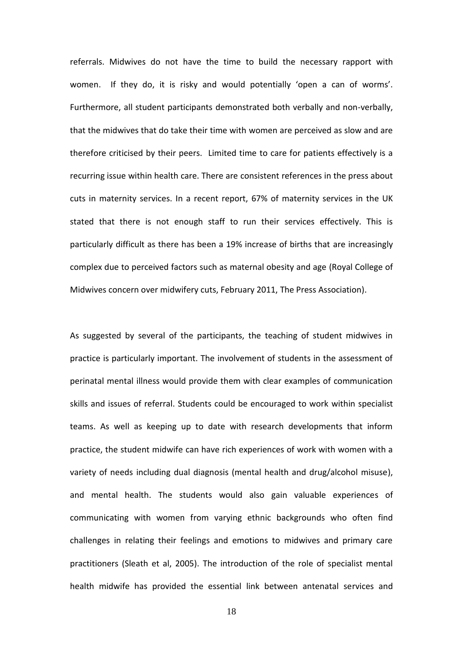referrals. Midwives do not have the time to build the necessary rapport with women. If they do, it is risky and would potentially 'open a can of worms'. Furthermore, all student participants demonstrated both verbally and non-verbally, that the midwives that do take their time with women are perceived as slow and are therefore criticised by their peers. Limited time to care for patients effectively is a recurring issue within health care. There are consistent references in the press about cuts in maternity services. In a recent report, 67% of maternity services in the UK stated that there is not enough staff to run their services effectively. This is particularly difficult as there has been a 19% increase of births that are increasingly complex due to perceived factors such as maternal obesity and age (Royal College of Midwives concern over midwifery cuts, February 2011, The Press Association).

As suggested by several of the participants, the teaching of student midwives in practice is particularly important. The involvement of students in the assessment of perinatal mental illness would provide them with clear examples of communication skills and issues of referral. Students could be encouraged to work within specialist teams. As well as keeping up to date with research developments that inform practice, the student midwife can have rich experiences of work with women with a variety of needs including dual diagnosis (mental health and drug/alcohol misuse), and mental health. The students would also gain valuable experiences of communicating with women from varying ethnic backgrounds who often find challenges in relating their feelings and emotions to midwives and primary care practitioners (Sleath et al, 2005). The introduction of the role of specialist mental health midwife has provided the essential link between antenatal services and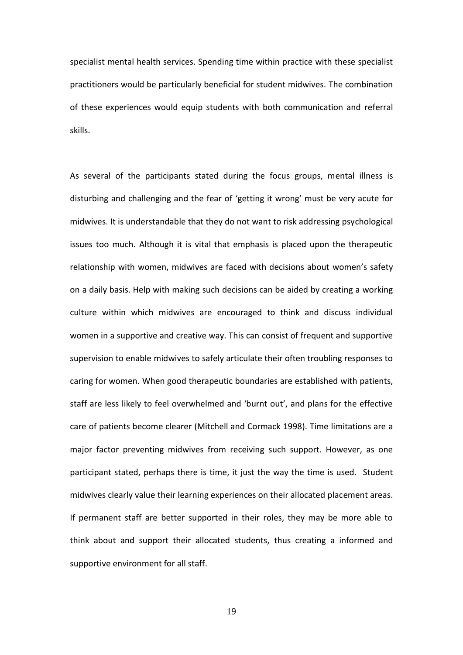specialist mental health services. Spending time within practice with these specialist practitioners would be particularly beneficial for student midwives. The combination of these experiences would equip students with both communication and referral skills.

As several of the participants stated during the focus groups, mental illness is disturbing and challenging and the fear of 'getting it wrong' must be very acute for midwives. It is understandable that they do not want to risk addressing psychological issues too much. Although it is vital that emphasis is placed upon the therapeutic relationship with women, midwives are faced with decisions about women's safety on a daily basis. Help with making such decisions can be aided by creating a working culture within which midwives are encouraged to think and discuss individual women in a supportive and creative way. This can consist of frequent and supportive supervision to enable midwives to safely articulate their often troubling responses to caring for women. When good therapeutic boundaries are established with patients, staff are less likely to feel overwhelmed and 'burnt out', and plans for the effective care of patients become clearer (Mitchell and Cormack 1998). Time limitations are a major factor preventing midwives from receiving such support. However, as one participant stated, perhaps there is time, it just the way the time is used. Student midwives clearly value their learning experiences on their allocated placement areas. If permanent staff are better supported in their roles, they may be more able to think about and support their allocated students, thus creating a informed and supportive environment for all staff.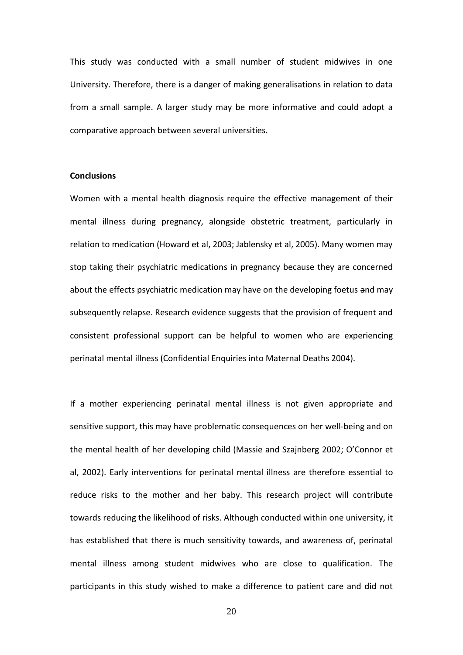This study was conducted with a small number of student midwives in one University. Therefore, there is a danger of making generalisations in relation to data from a small sample. A larger study may be more informative and could adopt a comparative approach between several universities.

#### **Conclusions**

Women with a mental health diagnosis require the effective management of their mental illness during pregnancy, alongside obstetric treatment, particularly in relation to medication (Howard et al, 2003; Jablensky et al, 2005). Many women may stop taking their psychiatric medications in pregnancy because they are concerned about the effects psychiatric medication may have on the developing foetus and may subsequently relapse. Research evidence suggests that the provision of frequent and consistent professional support can be helpful to women who are experiencing perinatal mental illness (Confidential Enquiries into Maternal Deaths 2004).

If a mother experiencing perinatal mental illness is not given appropriate and sensitive support, this may have problematic consequences on her well-being and on the mental health of her developing child (Massie and Szajnberg 2002; O'Connor et al, 2002). Early interventions for perinatal mental illness are therefore essential to reduce risks to the mother and her baby. This research project will contribute towards reducing the likelihood of risks. Although conducted within one university, it has established that there is much sensitivity towards, and awareness of, perinatal mental illness among student midwives who are close to qualification. The participants in this study wished to make a difference to patient care and did not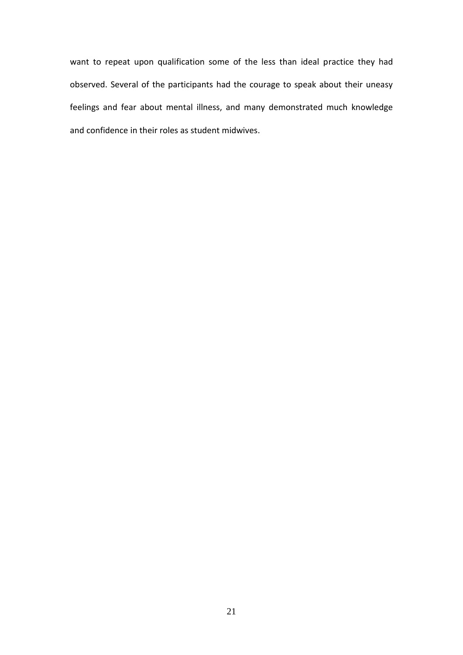want to repeat upon qualification some of the less than ideal practice they had observed. Several of the participants had the courage to speak about their uneasy feelings and fear about mental illness, and many demonstrated much knowledge and confidence in their roles as student midwives.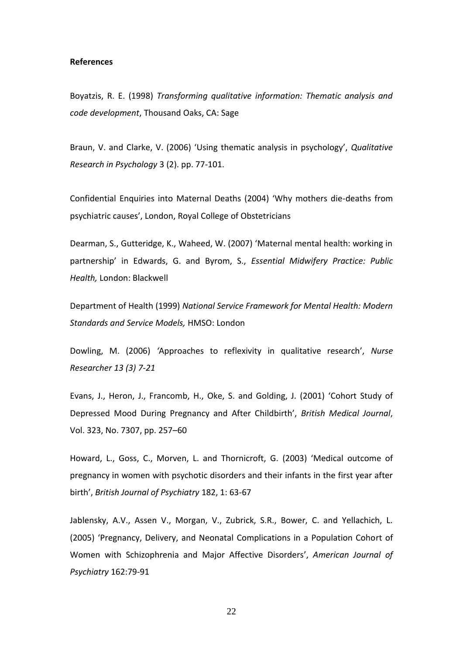#### **References**

Boyatzis, R. E. (1998) *Transforming qualitative information: Thematic analysis and code development*, Thousand Oaks, CA: Sage

Braun, V. and Clarke, V. (2006) 'Using thematic analysis in psychology', *Qualitative Research in Psychology* 3 (2). pp. 77-101.

Confidential Enquiries into Maternal Deaths (2004) 'Why mothers die-deaths from psychiatric causes', London, Royal College of Obstetricians

Dearman, S., Gutteridge, K., Waheed, W. (2007) 'Maternal mental health: working in partnership' in Edwards, G. and Byrom, S., *Essential Midwifery Practice: Public Health,* London: Blackwell

Department of Health (1999) *National Service Framework for Mental Health: Modern Standards and Service Models,* HMSO: London

Dowling, M. (2006) *'*Approaches to reflexivity in qualitative research', *Nurse Researcher 13 (3) 7-21*

Evans, J., Heron, J., Francomb, H., Oke, S. and Golding, J. (2001) 'Cohort Study of Depressed Mood During Pregnancy and After Childbirth', *British Medical Journal*, Vol. 323, No. 7307, pp. 257–60

Howard, L., Goss, C., Morven, L. and Thornicroft, G. (2003) 'Medical outcome of pregnancy in women with psychotic disorders and their infants in the first year after birth', *British Journal of Psychiatry* 182, 1: 63-67

Jablensky, A.V., Assen V., Morgan, V., Zubrick, S.R., Bower, C. and Yellachich, L. (2005) 'Pregnancy, Delivery, and Neonatal Complications in a Population Cohort of Women with Schizophrenia and Major Affective Disorders', *American Journal of Psychiatry* 162:79-91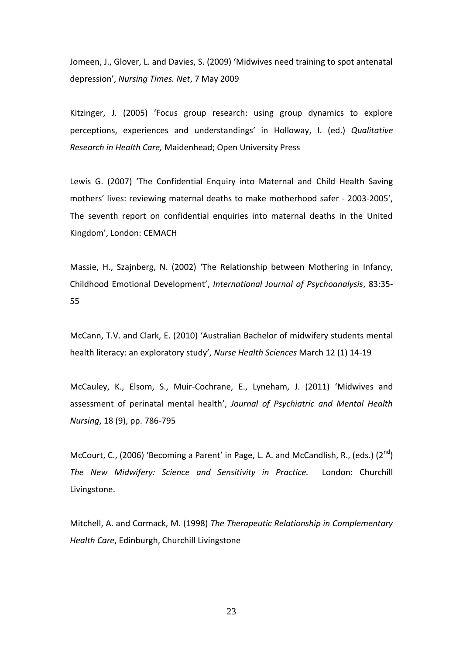Jomeen, J., Glover, L. and Davies, S. (2009) 'Midwives need training to spot antenatal depression', *Nursing Times. Net*, 7 May 2009

Kitzinger, J. (2005) 'Focus group research: using group dynamics to explore perceptions, experiences and understandings' in Holloway, I. (ed.) *Qualitative Research in Health Care,* Maidenhead; Open University Press

Lewis G. (2007) 'The Confidential Enquiry into Maternal and Child Health Saving mothers' lives: reviewing maternal deaths to make motherhood safer - 2003-2005', The seventh report on confidential enquiries into maternal deaths in the United Kingdom', London: CEMACH

Massie, H., Szajnberg, N. (2002) 'The Relationship between Mothering in Infancy, Childhood Emotional Development', *International Journal of Psychoanalysis*, 83:35- 55

McCann, T.V. and Clark, E. (2010) 'Australian Bachelor of midwifery students mental health literacy: an exploratory study', *Nurse Health Sciences* March 12 (1) 14-19

McCauley, K., Elsom, S., Muir-Cochrane, E., Lyneham, J. (2011) 'Midwives and assessment of perinatal mental health', *Journal of Psychiatric and Mental Health Nursing*, 18 (9), pp. 786-795

McCourt, C., (2006) 'Becoming a Parent' in Page, L. A. and McCandlish, R., (eds.) (2<sup>nd</sup>) *The New Midwifery: Science and Sensitivity in Practice.* London: Churchill Livingstone.

Mitchell, A. and Cormack, M. (1998) *The Therapeutic Relationship in Complementary Health Care*, Edinburgh, Churchill Livingstone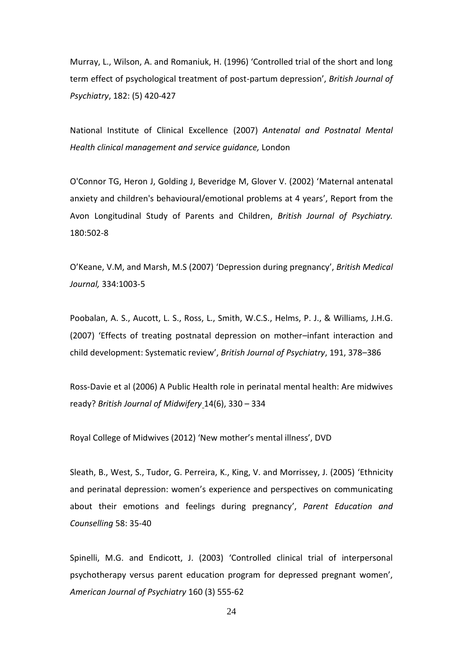Murray, L., Wilson, A. and Romaniuk, H. (1996) 'Controlled trial of the short and long term effect of psychological treatment of post-partum depression', *British Journal of Psychiatry*, 182: (5) 420-427

National Institute of Clinical Excellence (2007) *Antenatal and Postnatal Mental Health clinical management and service guidance,* London

O'Connor TG, Heron J, Golding J, Beveridge M, Glover V. (2002) 'Maternal antenatal anxiety and children's behavioural/emotional problems at 4 years', Report from the Avon Longitudinal Study of Parents and Children, *British Journal of Psychiatry.* 180:502-8

O'Keane, V.M, and Marsh, M.S (2007) 'Depression during pregnancy', *British Medical Journal,* 334:1003-5

Poobalan, A. S., Aucott, L. S., Ross, L., Smith, W.C.S., Helms, P. J., & Williams, J.H.G. (2007) 'Effects of treating postnatal depression on mother–infant interaction and child development: Systematic review', *British Journal of Psychiatry*, 191, 378–386

Ross-Davie et al (2006) A Public Health role in perinatal mental health: Are midwives ready? *British Journal of Midwifery* 14(6), 330 – 334

Royal College of Midwives (2012) 'New mother's mental illness', DVD

Sleath, B., West, S., Tudor, G. Perreira, K., King, V. and Morrissey, J. (2005) 'Ethnicity and perinatal depression: women's experience and perspectives on communicating about their emotions and feelings during pregnancy', *Parent Education and Counselling* 58: 35-40

Spinelli, M.G. and Endicott, J. (2003) 'Controlled clinical trial of interpersonal psychotherapy versus parent education program for depressed pregnant women', *American Journal of Psychiatry* 160 (3) 555-62